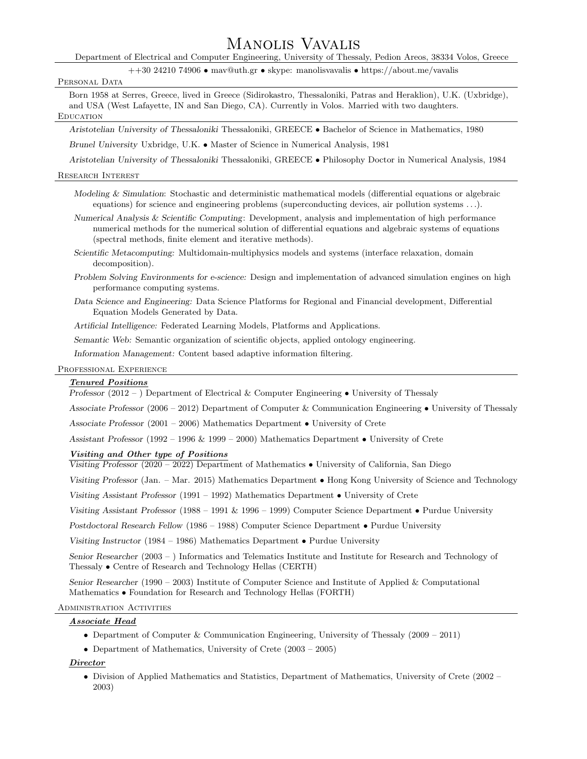# Manolis Vavalis

Department of Electrical and Computer Engineering, University of Thessaly, Pedion Areos, 38334 Volos, Greece

++30 24210 74906 • mav@uth.gr • skype: manolisvavalis • https://about.me/vavalis

#### PERSONAL DATA

Born 1958 at Serres, Greece, lived in Greece (Sidirokastro, Thessaloniki, Patras and Heraklion), U.K. (Uxbridge), and USA (West Lafayette, IN and San Diego, CA). Currently in Volos. Married with two daughters. **EDUCATION** 

Aristotelian University of Thessaloniki Thessaloniki, GREECE • Bachelor of Science in Mathematics, 1980

Brunel University Uxbridge, U.K. • Master of Science in Numerical Analysis, 1981

Aristotelian University of Thessaloniki Thessaloniki, GREECE • Philosophy Doctor in Numerical Analysis, 1984

#### Research Interest

- Modeling & Simulation: Stochastic and deterministic mathematical models (differential equations or algebraic equations) for science and engineering problems (superconducting devices, air pollution systems . . .).
- Numerical Analysis & Scientific Computing: Development, analysis and implementation of high performance numerical methods for the numerical solution of differential equations and algebraic systems of equations (spectral methods, finite element and iterative methods).
- Scientific Metacomputing: Multidomain-multiphysics models and systems (interface relaxation, domain decomposition).
- Problem Solving Environments for e-science: Design and implementation of advanced simulation engines on high performance computing systems.
- Data Science and Engineering: Data Science Platforms for Regional and Financial development, Differential Equation Models Generated by Data.

Artificial Intelligence: Federated Learning Models, Platforms and Applications.

Semantic Web: Semantic organization of scientific objects, applied ontology engineering.

Information Management: Content based adaptive information filtering.

#### Professional Experience

#### Tenured Positions

Professor  $(2012 - )$  Department of Electrical & Computer Engineering • University of Thessaly

Associate Professor (2006 – 2012) Department of Computer & Communication Engineering • University of Thessaly

Associate Professor  $(2001 - 2006)$  Mathematics Department • University of Crete

Assistant Professor (1992 – 1996 & 1999 – 2000) Mathematics Department • University of Crete

#### Visiting and Other type of Positions

Visiting Professor (2020 – 2022) Department of Mathematics • University of California, San Diego

Visiting Professor (Jan. – Mar. 2015) Mathematics Department • Hong Kong University of Science and Technology

Visiting Assistant Professor (1991 – 1992) Mathematics Department • University of Crete

Visiting Assistant Professor (1988 – 1991 & 1996 – 1999) Computer Science Department • Purdue University

Postdoctoral Research Fellow (1986 – 1988) Computer Science Department • Purdue University

Visiting Instructor (1984 – 1986) Mathematics Department • Purdue University

Senior Researcher (2003 – ) Informatics and Telematics Institute and Institute for Research and Technology of Thessaly • Centre of Research and Technology Hellas (CERTH)

Senior Researcher (1990 – 2003) Institute of Computer Science and Institute of Applied & Computational Mathematics • Foundation for Research and Technology Hellas (FORTH)

#### ADMINISTRATION ACTIVITIES

# Associate Head

- Department of Computer & Communication Engineering, University of Thessaly (2009 2011)
- Department of Mathematics, University of Crete (2003 2005)

#### Director

• Division of Applied Mathematics and Statistics, Department of Mathematics, University of Crete (2002 – 2003)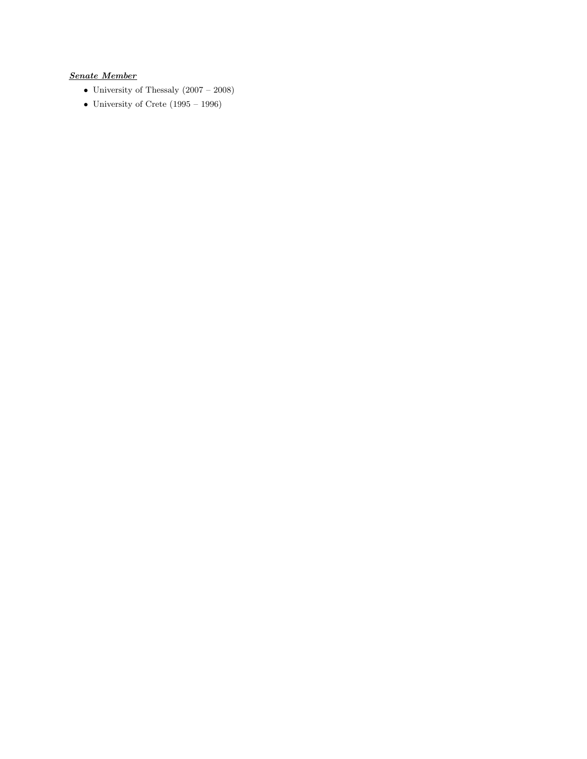# Senate Member

- University of Thessaly (2007 2008)
- University of Crete  $(1995 1996)$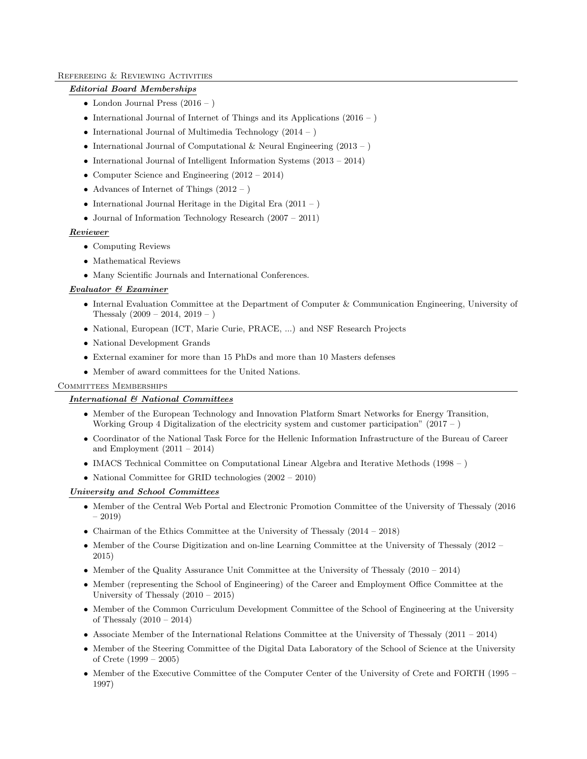# Refereeing & Reviewing Activities

# Editorial Board Memberships

- London Journal Press  $(2016 )$
- International Journal of Internet of Things and its Applications  $(2016 )$
- International Journal of Multimedia Technology (2014 )
- International Journal of Computational & Neural Engineering  $(2013 )$
- International Journal of Intelligent Information Systems (2013 2014)
- Computer Science and Engineering (2012 2014)
- Advances of Internet of Things  $(2012 )$
- International Journal Heritage in the Digital Era  $(2011 )$
- Journal of Information Technology Research (2007 2011)

### Reviewer

- Computing Reviews
- Mathematical Reviews
- Many Scientific Journals and International Conferences.

### Evaluator & Examiner

- Internal Evaluation Committee at the Department of Computer & Communication Engineering, University of Thessaly  $(2009 - 2014, 2019 - )$
- National, European (ICT, Marie Curie, PRACE, ...) and NSF Research Projects
- National Development Grands
- External examiner for more than 15 PhDs and more than 10 Masters defenses
- Member of award committees for the United Nations.

### Committees Memberships

# International & National Committees

- Member of the European Technology and Innovation Platform Smart Networks for Energy Transition, Working Group 4 Digitalization of the electricity system and customer participation" (2017 – )
- Coordinator of the National Task Force for the Hellenic Information Infrastructure of the Bureau of Career and Employment  $(2011 - 2014)$
- IMACS Technical Committee on Computational Linear Algebra and Iterative Methods (1998 )
- National Committee for GRID technologies  $(2002 2010)$

#### University and School Committees

- Member of the Central Web Portal and Electronic Promotion Committee of the University of Thessaly (2016) – 2019)
- Chairman of the Ethics Committee at the University of Thessaly  $(2014 2018)$
- Member of the Course Digitization and on-line Learning Committee at the University of Thessaly (2012 2015)
- Member of the Quality Assurance Unit Committee at the University of Thessaly (2010 2014)
- Member (representing the School of Engineering) of the Career and Employment Office Committee at the University of Thessaly (2010 – 2015)
- Member of the Common Curriculum Development Committee of the School of Engineering at the University of Thessaly (2010 – 2014)
- Associate Member of the International Relations Committee at the University of Thessaly  $(2011 2014)$
- Member of the Steering Committee of the Digital Data Laboratory of the School of Science at the University of Crete (1999 – 2005)
- Member of the Executive Committee of the Computer Center of the University of Crete and FORTH (1995 1997)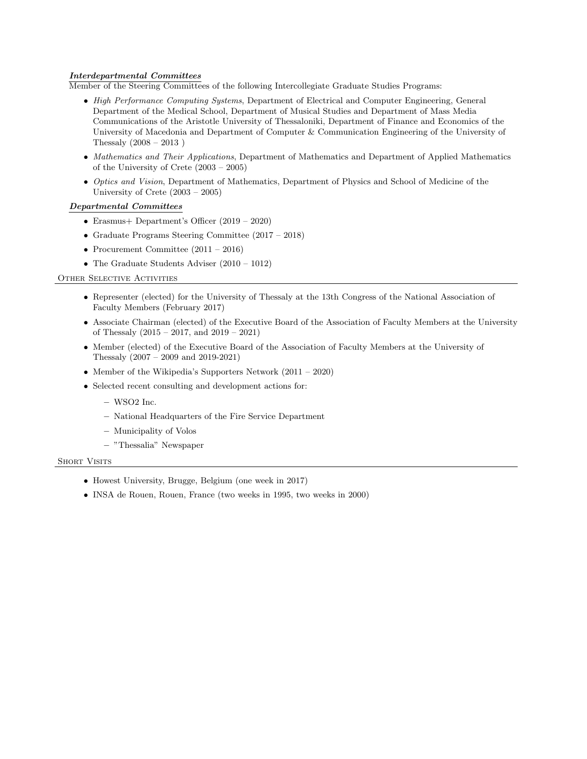# Interdepartmental Committees

Member of the Steering Committees of the following Intercollegiate Graduate Studies Programs:

- High Performance Computing Systems, Department of Electrical and Computer Engineering, General Department of the Medical School, Department of Musical Studies and Department of Mass Media Communications of the Aristotle University of Thessaloniki, Department of Finance and Economics of the University of Macedonia and Department of Computer & Communication Engineering of the University of Thessaly (2008 – 2013 )
- Mathematics and Their Applications, Department of Mathematics and Department of Applied Mathematics of the University of Crete (2003 – 2005)
- Optics and Vision, Department of Mathematics, Department of Physics and School of Medicine of the University of Crete (2003 – 2005)

#### Departmental Committees

- Erasmus+ Department's Officer (2019 2020)
- Graduate Programs Steering Committee (2017 2018)
- Procurement Committee  $(2011 2016)$
- The Graduate Students Adviser (2010 1012)

# OTHER SELECTIVE ACTIVITIES

- Representer (elected) for the University of Thessaly at the 13th Congress of the National Association of Faculty Members (February 2017)
- Associate Chairman (elected) of the Executive Board of the Association of Faculty Members at the University of Thessaly (2015 – 2017, and 2019 – 2021)
- Member (elected) of the Executive Board of the Association of Faculty Members at the University of Thessaly (2007 – 2009 and 2019-2021)
- Member of the Wikipedia's Supporters Network (2011 2020)
- Selected recent consulting and development actions for:
	- WSO2 Inc.
	- National Headquarters of the Fire Service Department
	- Municipality of Volos
	- "Thessalia" Newspaper

#### SHORT VISITS

- Howest University, Brugge, Belgium (one week in 2017)
- INSA de Rouen, Rouen, France (two weeks in 1995, two weeks in 2000)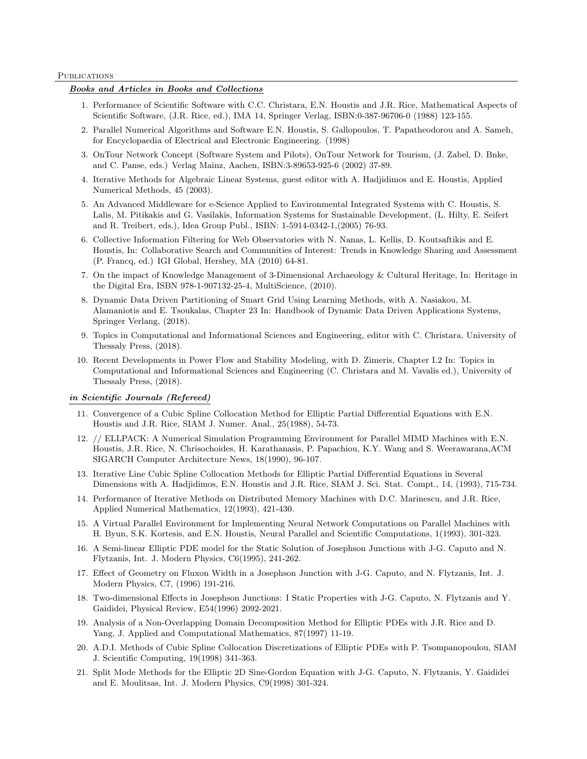#### **PUBLICATIONS**

# Books and Articles in Books and Collections

- 1. Performance of Scientific Software with C.C. Christara, E.N. Houstis and J.R. Rice, Mathematical Aspects of Scientific Software, (J.R. Rice, ed.), IMA 14, Springer Verlag, ISBN:0-387-96706-0 (1988) 123-155.
- 2. Parallel Numerical Algorithms and Software E.N. Houstis, S. Gallopoulos, T. Papatheodorou and A. Sameh, for Encyclopaedia of Electrical and Electronic Engineering. (1998)
- 3. OnTour Network Concept (Software System and Pilots), OnTour Network for Tourism, (J. Zabel, D. Bnke, and C. Panse, eds.) Verlag Mainz, Aachen, ISBN:3-89653-925-6 (2002) 37-89.
- 4. Iterative Methods for Algebraic Linear Systems, guest editor with A. Hadjidimos and E. Houstis, Applied Numerical Methods, 45 (2003).
- 5. An Advanced Middleware for e-Science Applied to Environmental Integrated Systems with C. Houstis, S. Lalis, M. Pitikakis and G. Vasilakis, Information Systems for Sustainable Development, (L. Hilty, E. Seifert and R. Treibert, eds.), Idea Group Publ., ISBN: 1-5914-0342-1,(2005) 76-93.
- 6. Collective Information Filtering for Web Observatories with N. Nanas, L. Kellis, D. Koutsaftikis and E. Houstis, In: Collaborative Search and Communities of Interest: Trends in Knowledge Sharing and Assessment (P. Francq, ed.) IGI Global, Hershey, MA (2010) 64-81.
- 7. On the impact of Knowledge Management of 3-Dimensional Archaeology & Cultural Heritage, In: Heritage in the Digital Era, ISBN 978-1-907132-25-4, MultiScience, (2010).
- 8. Dynamic Data Driven Partitioning of Smart Grid Using Learning Methods, with A. Nasiakou, M. Alamaniotis and E. Tsoukalas, Chapter 23 In: Handbook of Dynamic Data Driven Applications Systems, Springer Verlang, (2018).
- 9. Topics in Computational and Informational Sciences and Engineering, editor with C. Christara, University of Thessaly Press, (2018).
- 10. Recent Developments in Power Flow and Stability Modeling, with D. Zimeris, Chapter I.2 In: Topics in Computational and Informational Sciences and Engineering (C. Christara and M. Vavalis ed.), University of Thessaly Press, (2018).

#### in Scientific Journals (Refereed)

- 11. Convergence of a Cubic Spline Collocation Method for Elliptic Partial Differential Equations with E.N. Houstis and J.R. Rice, SIAM J. Numer. Anal., 25(1988), 54-73.
- 12. // ELLPACK: A Numerical Simulation Programming Environment for Parallel MIMD Machines with E.N. Houstis, J.R. Rice, N. Chrisochoides, H. Karathanasis, P. Papachiou, K.Y. Wang and S. Weerawarana,ACM SIGARCH Computer Architecture News, 18(1990), 96-107.
- 13. Iterative Line Cubic Spline Collocation Methods for Elliptic Partial Differential Equations in Several Dimensions with A. Hadjidimos, E.N. Houstis and J.R. Rice, SIAM J. Sci. Stat. Compt., 14, (1993), 715-734.
- 14. Performance of Iterative Methods on Distributed Memory Machines with D.C. Marinescu, and J.R. Rice, Applied Numerical Mathematics, 12(1993), 421-430.
- 15. A Virtual Parallel Environment for Implementing Neural Network Computations on Parallel Machines with H. Byun, S.K. Kortesis, and E.N. Houstis, Neural Parallel and Scientific Computations, 1(1993), 301-323.
- 16. A Semi-linear Elliptic PDE model for the Static Solution of Josephson Junctions with J-G. Caputo and N. Flytzanis, Int. J. Modern Physics, C6(1995), 241-262.
- 17. Effect of Geometry on Fluxon Width in a Josephson Junction with J-G. Caputo, and N. Flytzanis, Int. J. Modern Physics, C7, (1996) 191-216.
- 18. Two-dimensional Effects in Josephson Junctions: I Static Properties with J-G. Caputo, N. Flytzanis and Y. Gaididei, Physical Review, E54(1996) 2092-2021.
- 19. Analysis of a Non-Overlapping Domain Decomposition Method for Elliptic PDEs with J.R. Rice and D. Yang, J. Applied and Computational Mathematics, 87(1997) 11-19.
- 20. A.D.I. Methods of Cubic Spline Collocation Discretizations of Elliptic PDEs with P. Tsompanopoulou, SIAM J. Scientific Computing, 19(1998) 341-363.
- 21. Split Mode Methods for the Elliptic 2D Sine-Gordon Equation with J-G. Caputo, N. Flytzanis, Y. Gaididei and E. Moulitsas, Int. J. Modern Physics, C9(1998) 301-324.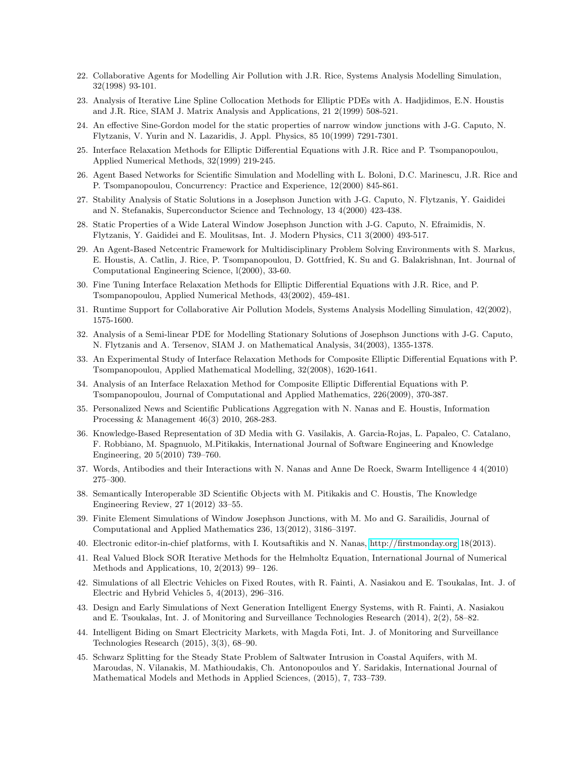- 22. Collaborative Agents for Modelling Air Pollution with J.R. Rice, Systems Analysis Modelling Simulation, 32(1998) 93-101.
- 23. Analysis of Iterative Line Spline Collocation Methods for Elliptic PDEs with A. Hadjidimos, E.N. Houstis and J.R. Rice, SIAM J. Matrix Analysis and Applications, 21 2(1999) 508-521.
- 24. An effective Sine-Gordon model for the static properties of narrow window junctions with J-G. Caputo, N. Flytzanis, V. Yurin and N. Lazaridis, J. Appl. Physics, 85 10(1999) 7291-7301.
- 25. Interface Relaxation Methods for Elliptic Differential Equations with J.R. Rice and P. Tsompanopoulou, Applied Numerical Methods, 32(1999) 219-245.
- 26. Agent Based Networks for Scientific Simulation and Modelling with L. Boloni, D.C. Marinescu, J.R. Rice and P. Tsompanopoulou, Concurrency: Practice and Experience, 12(2000) 845-861.
- 27. Stability Analysis of Static Solutions in a Josephson Junction with J-G. Caputo, N. Flytzanis, Y. Gaididei and N. Stefanakis, Superconductor Science and Technology, 13 4(2000) 423-438.
- 28. Static Properties of a Wide Lateral Window Josephson Junction with J-G. Caputo, N. Efraimidis, N. Flytzanis, Y. Gaididei and E. Moulitsas, Int. J. Modern Physics, C11 3(2000) 493-517.
- 29. An Agent-Based Netcentric Framework for Multidisciplinary Problem Solving Environments with S. Markus, E. Houstis, A. Catlin, J. Rice, P. Tsompanopoulou, D. Gottfried, K. Su and G. Balakrishnan, Int. Journal of Computational Engineering Science, l(2000), 33-60.
- 30. Fine Tuning Interface Relaxation Methods for Elliptic Differential Equations with J.R. Rice, and P. Tsompanopoulou, Applied Numerical Methods, 43(2002), 459-481.
- 31. Runtime Support for Collaborative Air Pollution Models, Systems Analysis Modelling Simulation, 42(2002), 1575-1600.
- 32. Analysis of a Semi-linear PDE for Modelling Stationary Solutions of Josephson Junctions with J-G. Caputo, N. Flytzanis and A. Tersenov, SIAM J. on Mathematical Analysis, 34(2003), 1355-1378.
- 33. An Experimental Study of Interface Relaxation Methods for Composite Elliptic Differential Equations with P. Tsompanopoulou, Applied Mathematical Modelling, 32(2008), 1620-1641.
- 34. Analysis of an Interface Relaxation Method for Composite Elliptic Differential Equations with P. Tsompanopoulou, Journal of Computational and Applied Mathematics, 226(2009), 370-387.
- 35. Personalized News and Scientific Publications Aggregation with N. Nanas and E. Houstis, Information Processing & Management 46(3) 2010, 268-283.
- 36. Knowledge-Based Representation of 3D Media with G. Vasilakis, A. Garcia-Rojas, L. Papaleo, C. Catalano, F. Robbiano, M. Spagnuolo, M.Pitikakis, International Journal of Software Engineering and Knowledge Engineering, 20 5(2010) 739–760.
- 37. Words, Antibodies and their Interactions with N. Nanas and Anne De Roeck, Swarm Intelligence 4 4(2010) 275–300.
- 38. Semantically Interoperable 3D Scientific Objects with M. Pitikakis and C. Houstis, The Knowledge Engineering Review, 27 1(2012) 33–55.
- 39. Finite Element Simulations of Window Josephson Junctions, with M. Mo and G. Sarailidis, Journal of Computational and Applied Mathematics 236, 13(2012), 3186–3197.
- 40. Electronic editor-in-chief platforms, with I. Koutsaftikis and N. Nanas,<http://firstmonday.org> 18(2013).
- 41. Real Valued Block SOR Iterative Methods for the Helmholtz Equation, International Journal of Numerical Methods and Applications, 10, 2(2013) 99– 126.
- 42. Simulations of all Electric Vehicles on Fixed Routes, with R. Fainti, A. Nasiakou and E. Tsoukalas, Int. J. of Electric and Hybrid Vehicles 5, 4(2013), 296–316.
- 43. Design and Early Simulations of Next Generation Intelligent Energy Systems, with R. Fainti, A. Nasiakou and E. Tsoukalas, Int. J. of Monitoring and Surveillance Technologies Research (2014), 2(2), 58–82.
- 44. Intelligent Biding on Smart Electricity Markets, with Magda Foti, Int. J. of Monitoring and Surveillance Technologies Research (2015), 3(3), 68–90.
- 45. Schwarz Splitting for the Steady State Problem of Saltwater Intrusion in Coastal Aquifers, with M. Maroudas, N. Vilanakis, M. Mathioudakis, Ch. Antonopoulos and Y. Saridakis, International Journal of Mathematical Models and Methods in Applied Sciences, (2015), 7, 733–739.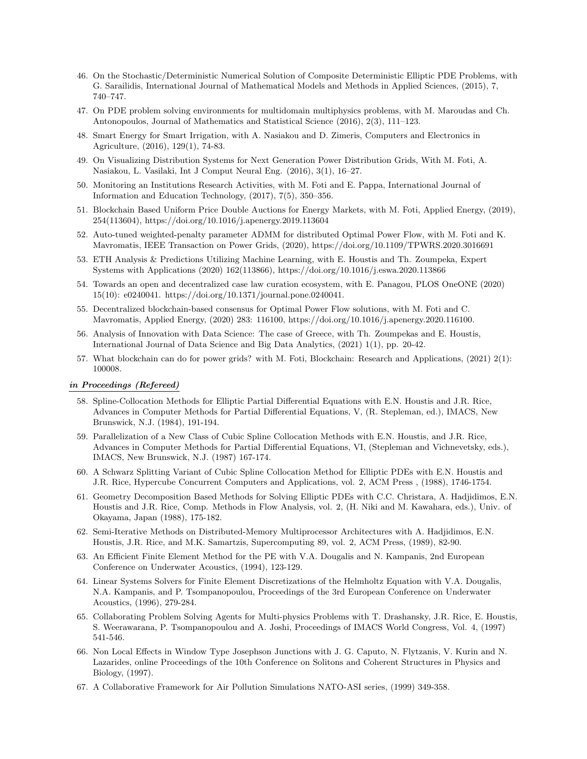- 46. On the Stochastic/Deterministic Numerical Solution of Composite Deterministic Elliptic PDE Problems, with G. Sarailidis, International Journal of Mathematical Models and Methods in Applied Sciences, (2015), 7, 740–747.
- 47. On PDE problem solving environments for multidomain multiphysics problems, with M. Maroudas and Ch. Antonopoulos, Journal of Mathematics and Statistical Science (2016), 2(3), 111–123.
- 48. Smart Energy for Smart Irrigation, with A. Nasiakou and D. Zimeris, Computers and Electronics in Agriculture, (2016), 129(1), 74-83.
- 49. On Visualizing Distribution Systems for Next Generation Power Distribution Grids, With M. Foti, A. Nasiakou, L. Vasilaki, Int J Comput Neural Eng. (2016), 3(1), 16–27.
- 50. Monitoring an Institutions Research Activities, with M. Foti and E. Pappa, International Journal of Information and Education Technology, (2017), 7(5), 350–356.
- 51. Blockchain Based Uniform Price Double Auctions for Energy Markets, with M. Foti, Applied Energy, (2019), 254(113604), https://doi.org/10.1016/j.apenergy.2019.113604
- 52. Auto-tuned weighted-penalty parameter ADMM for distributed Optimal Power Flow, with M. Foti and K. Mavromatis, IEEE Transaction on Power Grids, (2020), https://doi.org/10.1109/TPWRS.2020.3016691
- 53. ETH Analysis & Predictions Utilizing Machine Learning, with E. Houstis and Th. Zoumpeka, Expert Systems with Applications (2020) 162(113866), https://doi.org/10.1016/j.eswa.2020.113866
- 54. Towards an open and decentralized case law curation ecosystem, with E. Panagou, PLOS OneONE (2020) 15(10): e0240041. https://doi.org/10.1371/journal.pone.0240041.
- 55. Decentralized blockchain-based consensus for Optimal Power Flow solutions, with M. Foti and C. Mavromatis, Applied Energy, (2020) 283: 116100, https://doi.org/10.1016/j.apenergy.2020.116100.
- 56. Analysis of Innovation with Data Science: The case of Greece, with Th. Zoumpekas and E. Houstis, International Journal of Data Science and Big Data Analytics, (2021) 1(1), pp. 20-42.
- 57. What blockchain can do for power grids? with M. Foti, Blockchain: Research and Applications, (2021) 2(1): 100008.

# in Proceedings (Refereed)

- 58. Spline-Collocation Methods for Elliptic Partial Differential Equations with E.N. Houstis and J.R. Rice, Advances in Computer Methods for Partial Differential Equations, V, (R. Stepleman, ed.), IMACS, New Brunswick, N.J. (1984), 191-194.
- 59. Parallelization of a New Class of Cubic Spline Collocation Methods with E.N. Houstis, and J.R. Rice, Advances in Computer Methods for Partial Differential Equations, VI, (Stepleman and Vichnevetsky, eds.), IMACS, New Brunswick, N.J. (1987) 167-174.
- 60. A Schwarz Splitting Variant of Cubic Spline Collocation Method for Elliptic PDEs with E.N. Houstis and J.R. Rice, Hypercube Concurrent Computers and Applications, vol. 2, ACM Press , (1988), 1746-1754.
- 61. Geometry Decomposition Based Methods for Solving Elliptic PDEs with C.C. Christara, A. Hadjidimos, E.N. Houstis and J.R. Rice, Comp. Methods in Flow Analysis, vol. 2, (H. Niki and M. Kawahara, eds.), Univ. of Okayama, Japan (1988), 175-182.
- 62. Semi-Iterative Methods on Distributed-Memory Multiprocessor Architectures with A. Hadjidimos, E.N. Houstis, J.R. Rice, and M.K. Samartzis, Supercomputing 89, vol. 2, ACM Press, (1989), 82-90.
- 63. An Efficient Finite Element Method for the PE with V.A. Dougalis and N. Kampanis, 2nd European Conference on Underwater Acoustics, (1994), 123-129.
- 64. Linear Systems Solvers for Finite Element Discretizations of the Helmholtz Equation with V.A. Dougalis, N.A. Kampanis, and P. Tsompanopoulou, Proceedings of the 3rd European Conference on Underwater Acoustics, (1996), 279-284.
- 65. Collaborating Problem Solving Agents for Multi-physics Problems with T. Drashansky, J.R. Rice, E. Houstis, S. Weerawarana, P. Tsompanopoulou and A. Joshi, Proceedings of IMACS World Congress, Vol. 4, (1997) 541-546.
- 66. Non Local Effects in Window Type Josephson Junctions with J. G. Caputo, N. Flytzanis, V. Kurin and N. Lazarides, online Proceedings of the 10th Conference on Solitons and Coherent Structures in Physics and Biology, (1997).
- 67. A Collaborative Framework for Air Pollution Simulations NATO-ASI series, (1999) 349-358.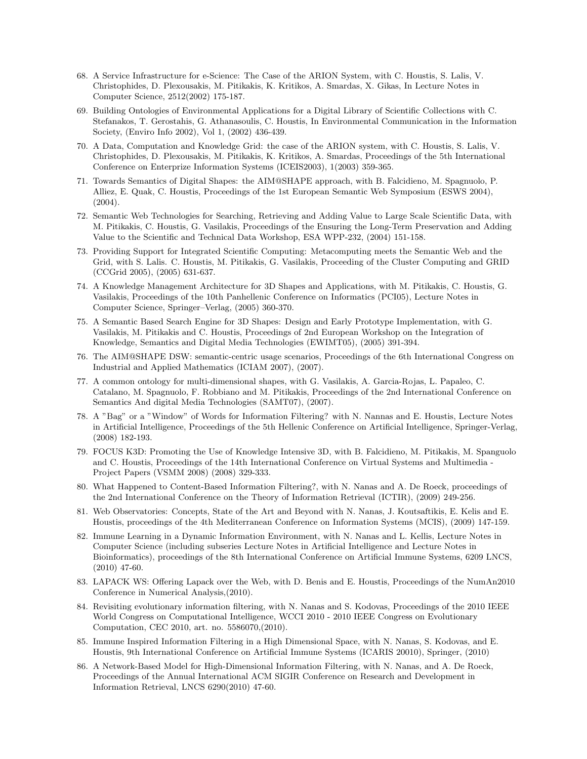- 68. A Service Infrastructure for e-Science: The Case of the ARION System, with C. Houstis, S. Lalis, V. Christophides, D. Plexousakis, M. Pitikakis, K. Kritikos, A. Smardas, X. Gikas, In Lecture Notes in Computer Science, 2512(2002) 175-187.
- 69. Building Ontologies of Environmental Applications for a Digital Library of Scientific Collections with C. Stefanakos, T. Gerostahis, G. Athanasoulis, C. Houstis, In Environmental Communication in the Information Society, (Enviro Info 2002), Vol 1, (2002) 436-439.
- 70. A Data, Computation and Knowledge Grid: the case of the ARION system, with C. Houstis, S. Lalis, V. Christophides, D. Plexousakis, M. Pitikakis, K. Kritikos, A. Smardas, Proceedings of the 5th International Conference on Enterprize Information Systems (ICEIS2003), 1(2003) 359-365.
- 71. Towards Semantics of Digital Shapes: the AIM@SHAPE approach, with B. Falcidieno, M. Spagnuolo, P. Alliez, E. Quak, C. Houstis, Proceedings of the 1st European Semantic Web Symposium (ESWS 2004),  $(2004).$
- 72. Semantic Web Technologies for Searching, Retrieving and Adding Value to Large Scale Scientific Data, with M. Pitikakis, C. Houstis, G. Vasilakis, Proceedings of the Ensuring the Long-Term Preservation and Adding Value to the Scientific and Technical Data Workshop, ESA WPP-232, (2004) 151-158.
- 73. Providing Support for Integrated Scientific Computing: Metacomputing meets the Semantic Web and the Grid, with S. Lalis. C. Houstis, M. Pitikakis, G. Vasilakis, Proceeding of the Cluster Computing and GRID (CCGrid 2005), (2005) 631-637.
- 74. A Knowledge Management Architecture for 3D Shapes and Applications, with M. Pitikakis, C. Houstis, G. Vasilakis, Proceedings of the 10th Panhellenic Conference on Informatics (PCI05), Lecture Notes in Computer Science, Springer–Verlag, (2005) 360-370.
- 75. A Semantic Based Search Engine for 3D Shapes: Design and Early Prototype Implementation, with G. Vasilakis, M. Pitikakis and C. Houstis, Proceedings of 2nd European Workshop on the Integration of Knowledge, Semantics and Digital Media Technologies (EWIMT05), (2005) 391-394.
- 76. The AIM@SHAPE DSW: semantic-centric usage scenarios, Proceedings of the 6th International Congress on Industrial and Applied Mathematics (ICIAM 2007), (2007).
- 77. A common ontology for multi-dimensional shapes, with G. Vasilakis, A. Garcia-Rojas, L. Papaleo, C. Catalano, M. Spagnuolo, F. Robbiano and M. Pitikakis, Proceedings of the 2nd International Conference on Semantics And digital Media Technologies (SAMT07), (2007).
- 78. A "Bag" or a "Window" of Words for Information Filtering? with N. Nannas and E. Houstis, Lecture Notes in Artificial Intelligence, Proceedings of the 5th Hellenic Conference on Artificial Intelligence, Springer-Verlag, (2008) 182-193.
- 79. FOCUS K3D: Promoting the Use of Knowledge Intensive 3D, with B. Falcidieno, M. Pitikakis, M. Spanguolo and C. Houstis, Proceedings of the 14th International Conference on Virtual Systems and Multimedia - Project Papers (VSMM 2008) (2008) 329-333.
- 80. What Happened to Content-Based Information Filtering?, with N. Nanas and A. De Roeck, proceedings of the 2nd International Conference on the Theory of Information Retrieval (ICTIR), (2009) 249-256.
- 81. Web Observatories: Concepts, State of the Art and Beyond with N. Nanas, J. Koutsaftikis, E. Kelis and E. Houstis, proceedings of the 4th Mediterranean Conference on Information Systems (MCIS), (2009) 147-159.
- 82. Immune Learning in a Dynamic Information Environment, with N. Nanas and L. Kellis, Lecture Notes in Computer Science (including subseries Lecture Notes in Artificial Intelligence and Lecture Notes in Bioinformatics), proceedings of the 8th International Conference on Artificial Immune Systems, 6209 LNCS, (2010) 47-60.
- 83. LAPACK WS: Offering Lapack over the Web, with D. Benis and E. Houstis, Proceedings of the NumAn2010 Conference in Numerical Analysis,(2010).
- 84. Revisiting evolutionary information filtering, with N. Nanas and S. Kodovas, Proceedings of the 2010 IEEE World Congress on Computational Intelligence, WCCI 2010 - 2010 IEEE Congress on Evolutionary Computation, CEC 2010, art. no. 5586070,(2010).
- 85. Immune Inspired Information Filtering in a High Dimensional Space, with N. Nanas, S. Kodovas, and E. Houstis, 9th International Conference on Artificial Immune Systems (ICARIS 20010), Springer, (2010)
- 86. A Network-Based Model for High-Dimensional Information Filtering, with N. Nanas, and A. De Roeck, Proceedings of the Annual International ACM SIGIR Conference on Research and Development in Information Retrieval, LNCS 6290(2010) 47-60.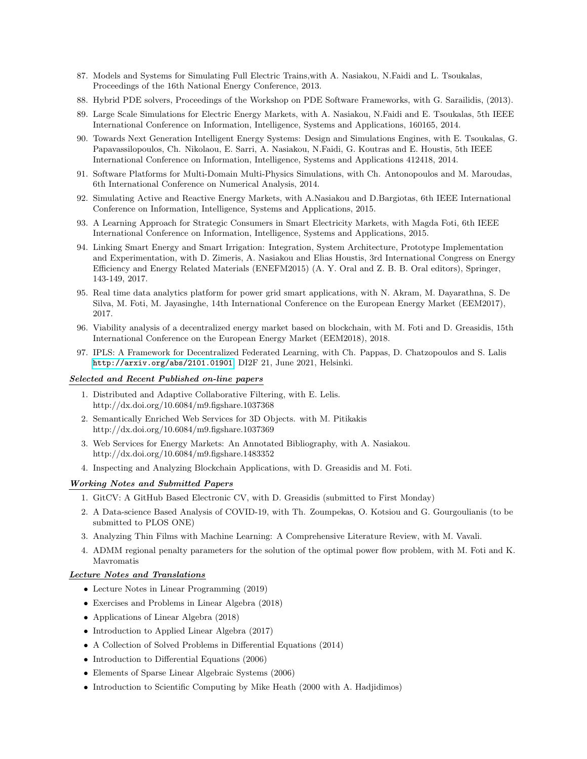- 87. Models and Systems for Simulating Full Electric Trains,with A. Nasiakou, N.Faidi and L. Tsoukalas, Proceedings of the 16th National Energy Conference, 2013.
- 88. Hybrid PDE solvers, Proceedings of the Workshop on PDE Software Frameworks, with G. Sarailidis, (2013).
- 89. Large Scale Simulations for Electric Energy Markets, with A. Nasiakou, N.Faidi and E. Tsoukalas, 5th IEEE International Conference on Information, Intelligence, Systems and Applications, 160165, 2014.
- 90. Towards Next Generation Intelligent Energy Systems: Design and Simulations Engines, with E. Tsoukalas, G. Papavassilopoulos, Ch. Nikolaou, E. Sarri, A. Nasiakou, N.Faidi, G. Koutras and E. Houstis, 5th IEEE International Conference on Information, Intelligence, Systems and Applications 412418, 2014.
- 91. Software Platforms for Multi-Domain Multi-Physics Simulations, with Ch. Antonopoulos and M. Maroudas, 6th International Conference on Numerical Analysis, 2014.
- 92. Simulating Active and Reactive Energy Markets, with A.Nasiakou and D.Bargiotas, 6th IEEE International Conference on Information, Intelligence, Systems and Applications, 2015.
- 93. A Learning Approach for Strategic Consumers in Smart Electricity Markets, with Magda Foti, 6th IEEE International Conference on Information, Intelligence, Systems and Applications, 2015.
- 94. Linking Smart Energy and Smart Irrigation: Integration, System Architecture, Prototype Implementation and Experimentation, with D. Zimeris, A. Nasiakou and Elias Houstis, 3rd International Congress on Energy Efficiency and Energy Related Materials (ENEFM2015) (A. Y. Oral and Z. B. B. Oral editors), Springer, 143-149, 2017.
- 95. Real time data analytics platform for power grid smart applications, with N. Akram, M. Dayarathna, S. De Silva, M. Foti, M. Jayasinghe, 14th International Conference on the European Energy Market (EEM2017), 2017.
- 96. Viability analysis of a decentralized energy market based on blockchain, with M. Foti and D. Greasidis, 15th International Conference on the European Energy Market (EEM2018), 2018.
- 97. IPLS: A Framework for Decentralized Federated Learning, with Ch. Pappas, D. Chatzopoulos and S. Lalis <http://arxiv.org/abs/2101.01901>, DI2F 21, June 2021, Helsinki.

#### Selected and Recent Published on-line papers

- 1. Distributed and Adaptive Collaborative Filtering, with E. Lelis. http://dx.doi.org/10.6084/m9.figshare.1037368
- 2. Semantically Enriched Web Services for 3D Objects. with M. Pitikakis http://dx.doi.org/10.6084/m9.figshare.1037369
- 3. Web Services for Energy Markets: An Annotated Bibliography, with A. Nasiakou. http://dx.doi.org/10.6084/m9.figshare.1483352
- 4. Inspecting and Analyzing Blockchain Applications, with D. Greasidis and M. Foti.

# Working Notes and Submitted Papers

- 1. GitCV: A GitHub Based Electronic CV, with D. Greasidis (submitted to First Monday)
- 2. A Data-science Based Analysis of COVID-19, with Th. Zoumpekas, O. Kotsiou and G. Gourgoulianis (to be submitted to PLOS ONE)
- 3. Analyzing Thin Films with Machine Learning: A Comprehensive Literature Review, with M. Vavali.
- 4. ADMM regional penalty parameters for the solution of the optimal power flow problem, with M. Foti and K. Mavromatis

### Lecture Notes and Translations

- Lecture Notes in Linear Programming (2019)
- Exercises and Problems in Linear Algebra (2018)
- Applications of Linear Algebra (2018)
- Introduction to Applied Linear Algebra (2017)
- A Collection of Solved Problems in Differential Equations (2014)
- Introduction to Differential Equations (2006)
- Elements of Sparse Linear Algebraic Systems (2006)
- Introduction to Scientific Computing by Mike Heath (2000 with A. Hadjidimos)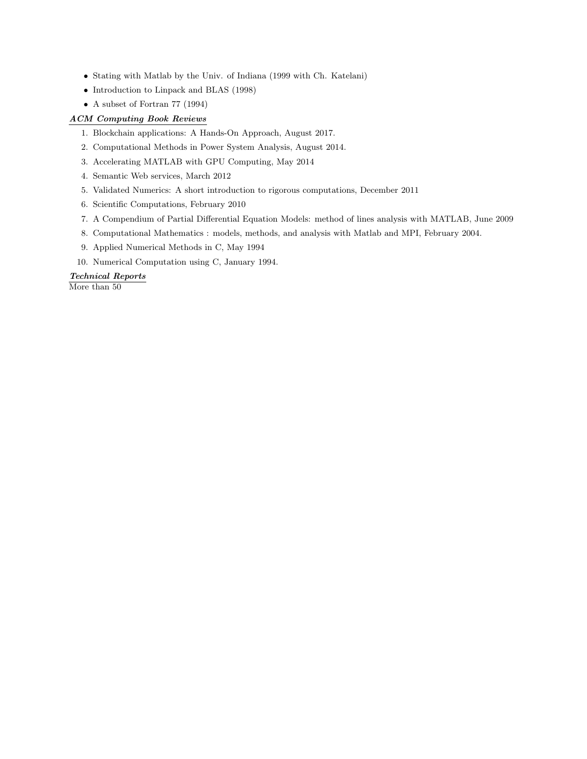- Stating with Matlab by the Univ. of Indiana (1999 with Ch. Katelani)
- Introduction to Linpack and BLAS (1998)
- A subset of Fortran 77 (1994)

# ACM Computing Book Reviews

- 1. Blockchain applications: A Hands-On Approach, August 2017.
- 2. Computational Methods in Power System Analysis, August 2014.
- 3. Accelerating MATLAB with GPU Computing, May 2014
- 4. Semantic Web services, March 2012
- 5. Validated Numerics: A short introduction to rigorous computations, December 2011
- 6. Scientific Computations, February 2010
- 7. A Compendium of Partial Differential Equation Models: method of lines analysis with MATLAB, June 2009
- 8. Computational Mathematics : models, methods, and analysis with Matlab and MPI, February 2004.
- 9. Applied Numerical Methods in C, May 1994
- 10. Numerical Computation using C, January 1994.

## Technical Reports

More than 50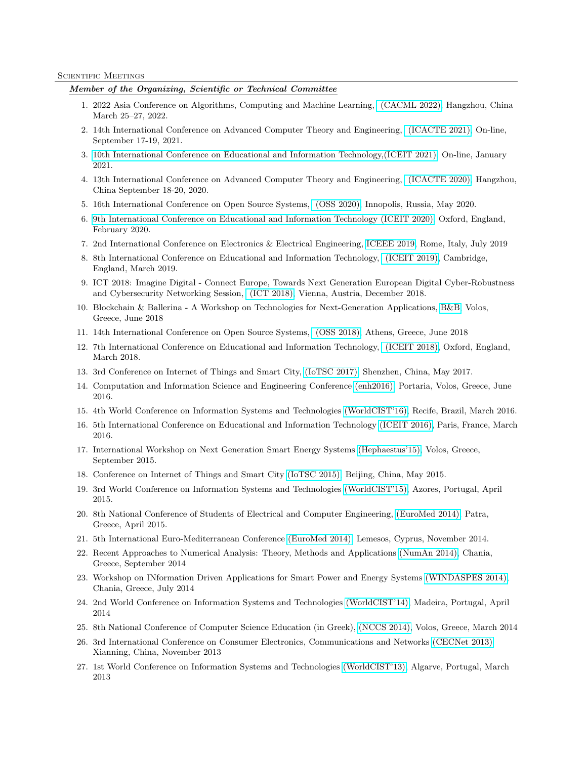#### SCIENTIFIC MEETINGS

# Member of the Organizing, Scientific or Technical Committee

- 1. 2022 Asia Conference on Algorithms, Computing and Machine Learning, [\(CACML 2022\),](http://www.cacml.net) Hangzhou, China March 25–27, 2022.
- 2. 14th International Conference on Advanced Computer Theory and Engineering, [\(ICACTE 2021\),](http://www.icacte.org/index.html) On-line, September 17-19, 2021.
- 3. [10th International Conference on Educational and Information Technology,\(ICEIT 2021\),](http://www.iceit.org/index.html) On-line, January 2021.
- 4. 13th International Conference on Advanced Computer Theory and Engineering, [\(ICACTE 2020\),](http://www.icacte.org/index.html) Hangzhou, China September 18-20, 2020.
- 5. 16th International Conference on Open Source Systems, [\(OSS 2020\),](https://www.oss2020.org/) Innopolis, Russia, May 2020.
- 6. [9th International Conference on Educational and Information Technology \(ICEIT 2020\),](http://www.iceit.org/iceit2020.html) Oxford, England, February 2020.
- 7. 2nd International Conference on Electronics & Electrical Engineering, [ICEEE 2019,](https://scientificfederation.com/iceee-2019/) Rome, Italy, July 2019
- 8. 8th International Conference on Educational and Information Technology, [\(ICEIT 2019\),](http://www.iceit.org/index.html) Cambridge, England, March 2019.
- 9. ICT 2018: Imagine Digital Connect Europe, Towards Next Generation European Digital Cyber-Robustness and Cybersecurity Networking Session, [\(ICT 2018\),](https://ec.europa.eu/digital-single-market/events/cf/ict2018/item-display.cfm?id=21971) Vienna, Austria, December 2018.
- 10. Blockchain & Ballerina A Workshop on Technologies for Next-Generation Applications, [B&B,](http://data-science.uth.gr/workshop/) Volos, Greece, June 2018
- 11. 14th International Conference on Open Source Systems, [\(OSS 2018\),](https://www.oss2018.org/) Athens, Greece, June 2018
- 12. 7th International Conference on Educational and Information Technology, [\(ICEIT 2018\),](http://www.iceit.org/index.html) Oxford, England, March 2018.
- 13. 3rd Conference on Internet of Things and Smart City, [\(IoTSC 2017\),](http://enh2016.uth.gr) Shenzhen, China, May 2017.
- 14. Computation and Information Science and Engineering Conference [\(enh2016\),](http://www.engii.org/ws2017/Home.aspx?ID=932) Portaria, Volos, Greece, June 2016.
- 15. 4th World Conference on Information Systems and Technologies [\(WorldCIST'16\),](http://www.aisti.eu/worldcist16/) Recife, Brazil, March 2016.
- 16. 5th International Conference on Educational and Information Technology [\(ICEIT 2016\),](http://www.iceit.org/index.html) Paris, France, March 2016.
- 17. International Workshop on Next Generation Smart Energy Systems [\(Hephaestus'15\),](http://ireteth.certh.gr/smartenergyworkshop/) Volos, Greece, September 2015.
- 18. Conference on Internet of Things and Smart City [\(IoTSC 2015\),](http://www.scirp.org/Conference/Home.aspx?ConferenceID=112) Beijing, China, May 2015.
- 19. 3rd World Conference on Information Systems and Technologies [\(WorldCIST'15\),](http://www.aisti.eu/worldcist15/) Azores, Portugal, April 2015.
- 20. 8th National Conference of Students of Electrical and Computer Engineering, [\(EuroMed 2014\),](http://www.sfhmmy.gr/) Patra, Greece, April 2015.
- 21. 5th International Euro-Mediterranean Conference [\(EuroMed 2014\),](http://www.euromed2014.eu/) Lemesos, Cyprus, November 2014.
- 22. Recent Approaches to Numerical Analysis: Theory, Methods and Applications [\(NumAn 2014\),](http://numan2014.amcl.tuc.gr/) Chania, Greece, September 2014
- 23. Workshop on INformation Driven Applications for Smart Power and Energy Systems [\(WINDASPES 2014\),](http://iisa2014.unipi.gr/iaspes-information-based-applications-for-smart-power-and-energy-systems/) Chania, Greece, July 2014
- 24. 2nd World Conference on Information Systems and Technologies [\(WorldCIST'14\),](http://www.aisti.eu/worldcist14/) Madeira, Portugal, April 2014
- 25. 8th National Conference of Computer Science Education (in Greek), [\(NCCS 2014\),](http://synedrio.pekap.gr/) Volos, Greece, March 2014
- 26. 3rd International Conference on Consumer Electronics, Communications and Networks [\(CECNet 2013\)](http://www.cecnetconf.org/) Xianning, China, November 2013
- 27. 1st World Conference on Information Systems and Technologies [\(WorldCIST'13\),](http://www.aisti.eu/worldcist13/) Algarve, Portugal, March 2013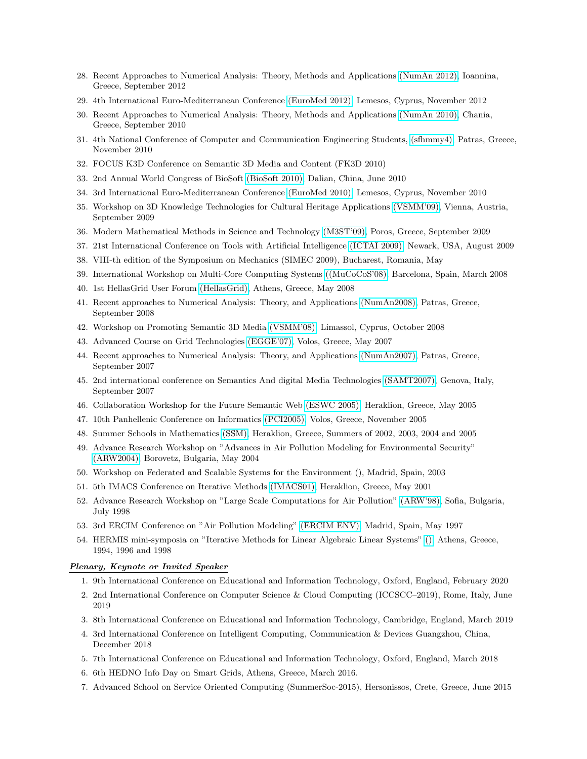- 28. Recent Approaches to Numerical Analysis: Theory, Methods and Applications [\(NumAn 2012\),](http://users.uoi.gr/numan2012/) Ioannina, Greece, September 2012
- 29. 4th International Euro-Mediterranean Conference [\(EuroMed 2012\),](http://www.euromed2012.eu/) Lemesos, Cyprus, November 2012
- 30. Recent Approaches to Numerical Analysis: Theory, Methods and Applications [\(NumAn 2010\),](http://numan2010.science.tuc.gr/) Chania, Greece, September 2010
- 31. 4th National Conference of Computer and Communication Engineering Students, [\(sfhmmy4\),](http://sfhmmy4.sfhmmy.gr/) Patras, Greece, November 2010
- 32. FOCUS K3D Conference on Semantic 3D Media and Content (FK3D 2010)
- 33. 2nd Annual World Congress of BioSoft [\(BioSoft 2010\),](http://www.bitlifesciences.com/biosoft2010/) Dalian, China, June 2010
- 34. 3rd International Euro-Mediterranean Conference [\(EuroMed 2010\),](http://www.euromed2010.eu/) Lemesos, Cyprus, November 2010
- 35. Workshop on 3D Knowledge Technologies for Cultural Heritage Applications [\(VSMM'09\),](http://www.prip.tuwien.ac.at/events/conferences/vsmm-2009/workshops-1/ws2) Vienna, Austria, September 2009
- 36. Modern Mathematical Methods in Science and Technology [\(M3ST'09\),](http://www.math.uoa.gr/M3ST09/index.html) Poros, Greece, September 2009
- 37. 21st International Conference on Tools with Artificial Intelligence [\(ICTAI 2009\),](http://ictai2009.njit.edu) Newark, USA, August 2009
- 38. VIII-th edition of the Symposium on Mechanics (SIMEC 2009), Bucharest, Romania, May
- 39. International Workshop on Multi-Core Computing Systems [\(\(MuCoCoS'08\),](http://www.par.univie.ac.at/~pllana/mucocos08/mucocos-2008.pdf) Barcelona, Spain, March 2008
- 40. 1st HellasGrid User Forum [\(HellasGrid\),](http://www.grnet.gr/default.asp?pid=19&la=2&ny=2007&nid=19&pg=1) Athens, Greece, May 2008
- 41. Recent approaches to Numerical Analysis: Theory, and Applications [\(NumAn2008\),](http://www.math.upatras.gr/numan2008/index.php) Patras, Greece, September 2008
- 42. Workshop on Promoting Semantic 3D Media [\(VSMM'08\),](http://www.vsmm2008.org/) Limassol, Cyprus, October 2008
- 43. Advanced Course on Grid Technologies [\(EGGE'07\),](http://indico.cern.ch/conferenceDisplay.py?confId=16468) Volos, Greece, May 2007
- 44. Recent approaches to Numerical Analysis: Theory, and Applications [\(NumAn2007\),](http://www.math.upatras.gr/numan2007) Patras, Greece, September 2007
- 45. 2nd international conference on Semantics And digital Media Technologies [\(SAMT2007\),](http://samt2007.ge.imati.cnr.it/) Genova, Italy, September 2007
- 46. Collaboration Workshop for the Future Semantic Web [\(ESWC 2005\),](http://www.agentlink.org/workshops/CFSW05/) Heraklion, Greece, May 2005
- 47. 10th Panhellenic Conference on Informatics [\(PCI2005\),](http://pci10.inf.uth.gr/) Volos, Greece, November 2005
- 48. Summer Schools in Mathematics [\(SSM\),](http://www.math.uoc.gr:1080/drasthriothtes/therina/) Heraklion, Greece, Summers of 2002, 2003, 2004 and 2005
- 49. Advance Research Workshop on "Advances in Air Pollution Modeling for Environmental Security" [\(ARW2004\),](http://www.springer.com/environment/pollution+and+remediation/book/978-1-4020-3349-0) Borovetz, Bulgaria, May 2004
- 50. Workshop on Federated and Scalable Systems for the Environment (), Madrid, Spain, 2003
- 51. 5th IMACS Conference on Iterative Methods [\(IMACS01\),](http://atlas-conferences.com/cgi-bin/abstract/cagm-01) Heraklion, Greece, May 2001
- 52. Advance Research Workshop on "Large Scale Computations for Air Pollution" [\(ARW'98\),](http://www2.dmu.dk/atmosphericenvironment/NATOARW/) Sofia, Bulgaria, July 1998
- 53. 3rd ERCIM Conference on "Air Pollution Modeling" [\(ERCIM ENV\),](http://ercim.first.fhg.de/workshops_old.html) Madrid, Spain, May 1997
- 54. HERMIS mini-symposia on "Iterative Methods for Linear Algebraic Linear Systems" [\(\),](http://202.38.126.65/mirror//www.ercim.org/activity/p-events-98.html) Athens, Greece, 1994, 1996 and 1998

#### Plenary, Keynote or Invited Speaker

- 1. 9th International Conference on Educational and Information Technology, Oxford, England, February 2020
- 2. 2nd International Conference on Computer Science & Cloud Computing (ICCSCC–2019), Rome, Italy, June 2019
- 3. 8th International Conference on Educational and Information Technology, Cambridge, England, March 2019
- 4. 3rd International Conference on Intelligent Computing, Communication & Devices Guangzhou, China, December 2018
- 5. 7th International Conference on Educational and Information Technology, Oxford, England, March 2018
- 6. 6th HEDNO Info Day on Smart Grids, Athens, Greece, March 2016.
- 7. Advanced School on Service Oriented Computing (SummerSoc-2015), Hersonissos, Crete, Greece, June 2015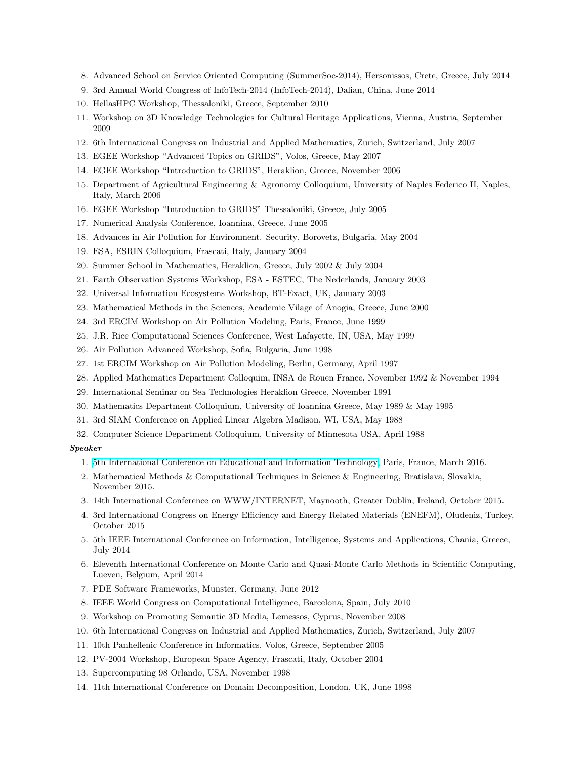- 8. Advanced School on Service Oriented Computing (SummerSoc-2014), Hersonissos, Crete, Greece, July 2014
- 9. 3rd Annual World Congress of InfoTech-2014 (InfoTech-2014), Dalian, China, June 2014
- 10. HellasHPC Workshop, Thessaloniki, Greece, September 2010
- 11. Workshop on 3D Knowledge Technologies for Cultural Heritage Applications, Vienna, Austria, September 2009
- 12. 6th International Congress on Industrial and Applied Mathematics, Zurich, Switzerland, July 2007
- 13. EGEE Workshop "Advanced Topics on GRIDS", Volos, Greece, May 2007
- 14. EGEE Workshop "Introduction to GRIDS", Heraklion, Greece, November 2006
- 15. Department of Agricultural Engineering & Agronomy Colloquium, University of Naples Federico II, Naples, Italy, March 2006
- 16. EGEE Workshop "Introduction to GRIDS" Thessaloniki, Greece, July 2005
- 17. Numerical Analysis Conference, Ioannina, Greece, June 2005
- 18. Advances in Air Pollution for Environment. Security, Borovetz, Bulgaria, May 2004
- 19. ESA, ESRIN Colloquium, Frascati, Italy, January 2004
- 20. Summer School in Mathematics, Heraklion, Greece, July 2002 & July 2004
- 21. Earth Observation Systems Workshop, ESA ESTEC, The Nederlands, January 2003
- 22. Universal Information Ecosystems Workshop, BT-Exact, UK, January 2003
- 23. Mathematical Methods in the Sciences, Academic Vilage of Anogia, Greece, June 2000
- 24. 3rd ERCIM Workshop on Air Pollution Modeling, Paris, France, June 1999
- 25. J.R. Rice Computational Sciences Conference, West Lafayette, IN, USA, May 1999
- 26. Air Pollution Advanced Workshop, Sofia, Bulgaria, June 1998
- 27. 1st ERCIM Workshop on Air Pollution Modeling, Berlin, Germany, April 1997
- 28. Applied Mathematics Department Colloquim, INSA de Rouen France, November 1992 & November 1994
- 29. International Seminar on Sea Technologies Heraklion Greece, November 1991
- 30. Mathematics Department Colloquium, University of Ioannina Greece, May 1989 & May 1995
- 31. 3rd SIAM Conference on Applied Linear Algebra Madison, WI, USA, May 1988
- 32. Computer Science Department Colloquium, University of Minnesota USA, April 1988

# Speaker

- 1. [5th International Conference on Educational and Information Technology,](http://www.iceit.org/index.html) Paris, France, March 2016.
- 2. Mathematical Methods & Computational Techniques in Science & Engineering, Bratislava, Slovakia, November 2015.
- 3. 14th International Conference on WWW/INTERNET, Maynooth, Greater Dublin, Ireland, October 2015.
- 4. 3rd International Congress on Energy Efficiency and Energy Related Materials (ENEFM), Oludeniz, Turkey, October 2015
- 5. 5th IEEE International Conference on Information, Intelligence, Systems and Applications, Chania, Greece, July 2014
- 6. Eleventh International Conference on Monte Carlo and Quasi-Monte Carlo Methods in Scientific Computing, Lueven, Belgium, April 2014
- 7. PDE Software Frameworks, Munster, Germany, June 2012
- 8. IEEE World Congress on Computational Intelligence, Barcelona, Spain, July 2010
- 9. Workshop on Promoting Semantic 3D Media, Lemessos, Cyprus, November 2008
- 10. 6th International Congress on Industrial and Applied Mathematics, Zurich, Switzerland, July 2007
- 11. 10th Panhellenic Conference in Informatics, Volos, Greece, September 2005
- 12. PV-2004 Workshop, European Space Agency, Frascati, Italy, October 2004
- 13. Supercomputing 98 Orlando, USA, November 1998
- 14. 11th International Conference on Domain Decomposition, London, UK, June 1998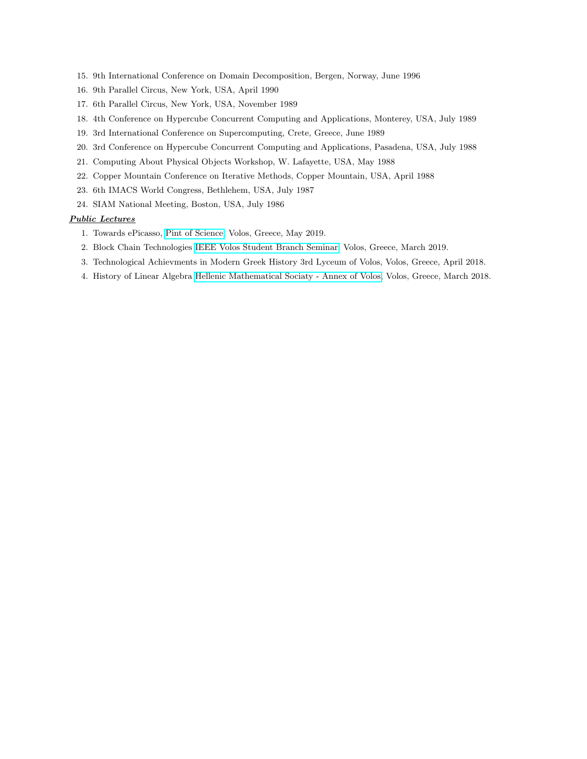- 15. 9th International Conference on Domain Decomposition, Bergen, Norway, June 1996
- 16. 9th Parallel Circus, New York, USA, April 1990
- 17. 6th Parallel Circus, New York, USA, November 1989
- 18. 4th Conference on Hypercube Concurrent Computing and Applications, Monterey, USA, July 1989
- 19. 3rd International Conference on Supercomputing, Crete, Greece, June 1989
- 20. 3rd Conference on Hypercube Concurrent Computing and Applications, Pasadena, USA, July 1988
- 21. Computing About Physical Objects Workshop, W. Lafayette, USA, May 1988
- 22. Copper Mountain Conference on Iterative Methods, Copper Mountain, USA, April 1988
- 23. 6th IMACS World Congress, Bethlehem, USA, July 1987
- 24. SIAM National Meeting, Boston, USA, July 1986

# Public Lectures

- 1. Towards ePicasso, [Pint of Science,](http://www.iceit.org/index.html) Volos, Greece, May 2019.
- 2. Block Chain Technologies [IEEE Volos Student Branch Seminar,](https://ieee.e-ce.uth.gr/machine-learning-and-blockchain-technologies/) Volos, Greece, March 2019.
- 3. Technological Achievments in Modern Greek History 3rd Lyceum of Volos, Volos, Greece, April 2018.
- 4. History of Linear Algebra [Hellenic Mathematical Sociaty Annex of Volos,](http://eme-mag.uth.gr) Volos, Greece, March 2018.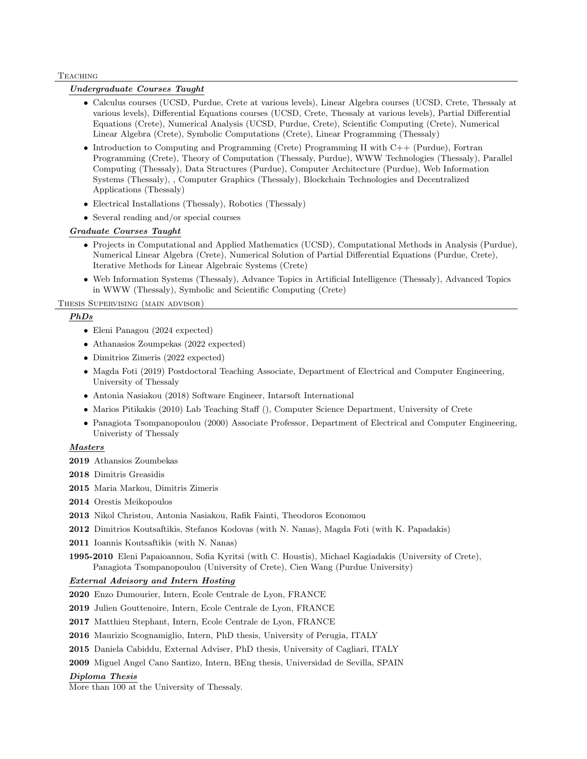#### **TEACHING**

# Undergraduate Courses Taught

- Calculus courses (UCSD, Purdue, Crete at various levels), Linear Algebra courses (UCSD, Crete, Thessaly at various levels), Differential Equations courses (UCSD, Crete, Thessaly at various levels), Partial Differential Equations (Crete), Numerical Analysis (UCSD, Purdue, Crete), Scientific Computing (Crete), Numerical Linear Algebra (Crete), Symbolic Computations (Crete), Linear Programming (Thessaly)
- Introduction to Computing and Programming (Crete) Programming II with C++ (Purdue), Fortran Programming (Crete), Theory of Computation (Thessaly, Purdue), WWW Technologies (Thessaly), Parallel Computing (Thessaly), Data Structures (Purdue), Computer Architecture (Purdue), Web Information Systems (Thessaly), , Computer Graphics (Thessaly), Blockchain Technologies and Decentralized Applications (Thessaly)
- Electrical Installations (Thessaly), Robotics (Thessaly)
- Several reading and/or special courses

# Graduate Courses Taught

- Projects in Computational and Applied Mathematics (UCSD), Computational Methods in Analysis (Purdue), Numerical Linear Algebra (Crete), Numerical Solution of Partial Differential Equations (Purdue, Crete), Iterative Methods for Linear Algebraic Systems (Crete)
- Web Information Systems (Thessaly), Advance Topics in Artificial Intelligence (Thessaly), Advanced Topics in WWW (Thessaly), Symbolic and Scientific Computing (Crete)

Thesis Supervising (main advisor)

# PhDs

- Eleni Panagou (2024 expected)
- Athanasios Zoumpekas (2022 expected)
- Dimitrios Zimeris (2022 expected)
- Magda Foti (2019) Postdoctoral Teaching Associate, Department of Electrical and Computer Engineering, University of Thessaly
- Antonia Nasiakou (2018) Software Engineer, Intarsoft International
- Marios Pitikakis (2010) Lab Teaching Staff (), Computer Science Department, University of Crete
- Panagiota Tsompanopoulou (2000) Associate Professor, Department of Electrical and Computer Engineering, Univeristy of Thessaly

## **Masters**

- 2019 Athansios Zoumbekas
- 2018 Dimitris Greasidis
- 2015 Maria Markou, Dimitris Zimeris
- 2014 Orestis Meikopoulos
- 2013 Nikol Christou, Antonia Nasiakou, Rafik Fainti, Theodoros Economou
- 2012 Dimitrios Koutsaftikis, Stefanos Kodovas (with N. Nanas), Magda Foti (with K. Papadakis)
- 2011 Ioannis Koutsaftikis (with N. Nanas)
- 1995-2010 Eleni Papaioannou, Sofia Kyritsi (with C. Houstis), Michael Kagiadakis (University of Crete), Panagiota Tsompanopoulou (University of Crete), Cien Wang (Purdue University)

# External Advisory and Intern Hosting

2020 Enzo Dumourier, Intern, Ecole Centrale de Lyon, FRANCE

2019 Julien Gouttenoire, Intern, Ecole Centrale de Lyon, FRANCE

2017 Matthieu Stephant, Intern, Ecole Centrale de Lyon, FRANCE

- 2016 Maurizio Scognamiglio, Intern, PhD thesis, University of Perugia, ITALY
- 2015 Daniela Cabiddu, External Adviser, PhD thesis, University of Cagliari, ITALY
- 2009 Miguel Angel Cano Santizo, Intern, BEng thesis, Universidad de Sevilla, SPAIN

#### Diploma Thesis

More than 100 at the University of Thessaly.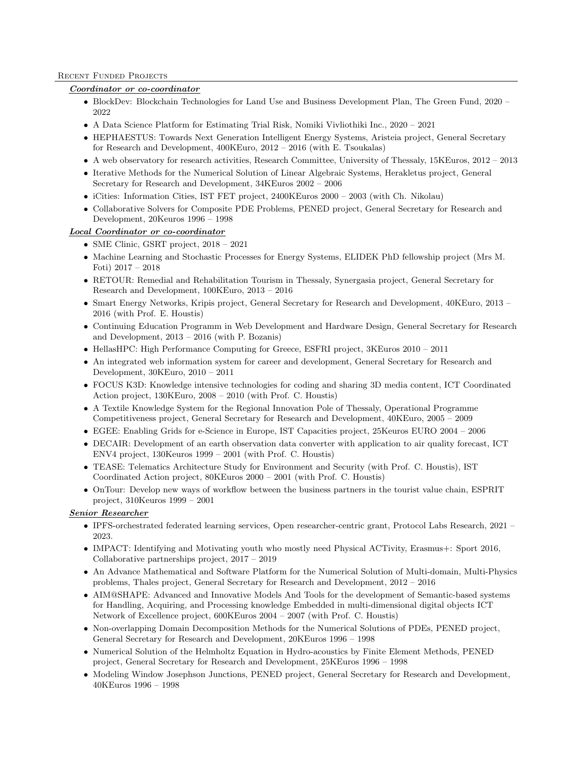### RECENT FUNDED PROJECTS

# Coordinator or co-coordinator

- BlockDev: Blockchain Technologies for Land Use and Business Development Plan, The Green Fund, 2020 2022
- A Data Science Platform for Estimating Trial Risk, Nomiki Vivliothiki Inc., 2020 2021
- HEPHAESTUS: Towards Next Generation Intelligent Energy Systems, Aristeia project, General Secretary for Research and Development, 400KEuro, 2012 – 2016 (with E. Tsoukalas)
- A web observatory for research activities, Research Committee, University of Thessaly, 15KEuros, 2012 2013
- Iterative Methods for the Numerical Solution of Linear Algebraic Systems, Herakletus project, General Secretary for Research and Development, 34KEuros 2002 – 2006
- iCities: Information Cities, IST FET project, 2400KEuros 2000 2003 (with Ch. Nikolau)
- Collaborative Solvers for Composite PDE Problems, PENED project, General Secretary for Research and Development, 20Keuros 1996 – 1998

# Local Coordinator or co-coordinator

- SME Clinic, GSRT project, 2018 2021
- Machine Learning and Stochastic Processes for Energy Systems, ELIDEK PhD fellowship project (Mrs M. Foti) 2017 – 2018
- RETOUR: Remedial and Rehabilitation Tourism in Thessaly, Synergasia project, General Secretary for Research and Development, 100KEuro, 2013 – 2016
- Smart Energy Networks, Kripis project, General Secretary for Research and Development, 40KEuro, 2013 2016 (with Prof. E. Houstis)
- Continuing Education Programm in Web Development and Hardware Design, General Secretary for Research and Development, 2013 – 2016 (with P. Bozanis)
- HellasHPC: High Performance Computing for Greece, ESFRI project, 3KEuros 2010 2011
- An integrated web information system for career and development, General Secretary for Research and Development, 30KEuro, 2010 – 2011
- FOCUS K3D: Knowledge intensive technologies for coding and sharing 3D media content, ICT Coordinated Action project, 130KEuro, 2008 – 2010 (with Prof. C. Houstis)
- A Textile Knowledge System for the Regional Innovation Pole of Thessaly, Operational Programme Competitiveness project, General Secretary for Research and Development, 40KEuro, 2005 – 2009
- EGEE: Enabling Grids for e-Science in Europe, IST Capacities project, 25Keuros EURO 2004 2006
- DECAIR: Development of an earth observation data converter with application to air quality forecast, ICT ENV4 project, 130Keuros 1999 – 2001 (with Prof. C. Houstis)
- TEASE: Telematics Architecture Study for Environment and Security (with Prof. C. Houstis), IST Coordinated Action project, 80KEuros 2000 – 2001 (with Prof. C. Houstis)
- OnTour: Develop new ways of workflow between the business partners in the tourist value chain, ESPRIT project, 310Keuros 1999 – 2001

# Senior Researcher

- IPFS-orchestrated federated learning services, Open researcher-centric grant, Protocol Labs Research, 2021 2023.
- IMPACT: Identifying and Motivating youth who mostly need Physical ACTivity, Erasmus+: Sport 2016, Collaborative partnerships project, 2017 – 2019
- An Advance Mathematical and Software Platform for the Numerical Solution of Multi-domain, Multi-Physics problems, Thales project, General Secretary for Research and Development, 2012 – 2016
- AIM@SHAPE: Advanced and Innovative Models And Tools for the development of Semantic-based systems for Handling, Acquiring, and Processing knowledge Embedded in multi-dimensional digital objects ICT Network of Excellence project, 600KEuros 2004 – 2007 (with Prof. C. Houstis)
- Non-overlapping Domain Decomposition Methods for the Numerical Solutions of PDEs, PENED project, General Secretary for Research and Development, 20KEuros 1996 – 1998
- Numerical Solution of the Helmholtz Equation in Hydro-acoustics by Finite Element Methods, PENED project, General Secretary for Research and Development, 25KEuros 1996 – 1998
- Modeling Window Josephson Junctions, PENED project, General Secretary for Research and Development, 40KEuros 1996 – 1998